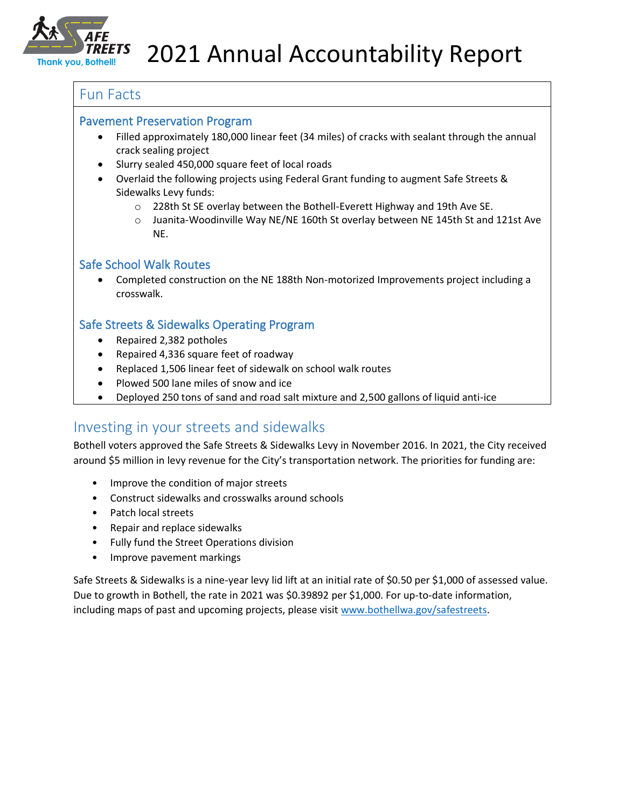

### Fun Facts

#### Pavement Preservation Program

- Filled approximately 180,000 linear feet (34 miles) of cracks with sealant through the annual crack sealing project
- Slurry sealed 450,000 square feet of local roads
- Overlaid the following projects using Federal Grant funding to augment Safe Streets & Sidewalks Levy funds:
	- o 228th St SE overlay between the Bothell-Everett Highway and 19th Ave SE.
	- o Juanita-Woodinville Way NE/NE 160th St overlay between NE 145th St and 121st Ave NE.

## Safe School Walk Routes

• Completed construction on the NE 188th Non-motorized Improvements project including a crosswalk.

### Safe Streets & Sidewalks Operating Program

- Repaired 2,382 potholes
- Repaired 4,336 square feet of roadway
- Replaced 1,506 linear feet of sidewalk on school walk routes
- Plowed 500 lane miles of snow and ice
- Deployed 250 tons of sand and road salt mixture and 2,500 gallons of liquid anti-ice

## Investing in your streets and sidewalks

Bothell voters approved the Safe Streets & Sidewalks Levy in November 2016. In 2021, the City received around \$5 million in levy revenue for the City's transportation network. The priorities for funding are:

- Improve the condition of major streets
- Construct sidewalks and crosswalks around schools
- Patch local streets
- Repair and replace sidewalks
- Fully fund the Street Operations division
- Improve pavement markings

Safe Streets & Sidewalks is a nine-year levy lid lift at an initial rate of \$0.50 per \$1,000 of assessed value. Due to growth in Bothell, the rate in 2021 was \$0.39892 per \$1,000. For up-to-date information, including maps of past and upcoming projects, please visit [www.bothellwa.gov/safestreets.](http://www.bothellwa.gov/safestreets)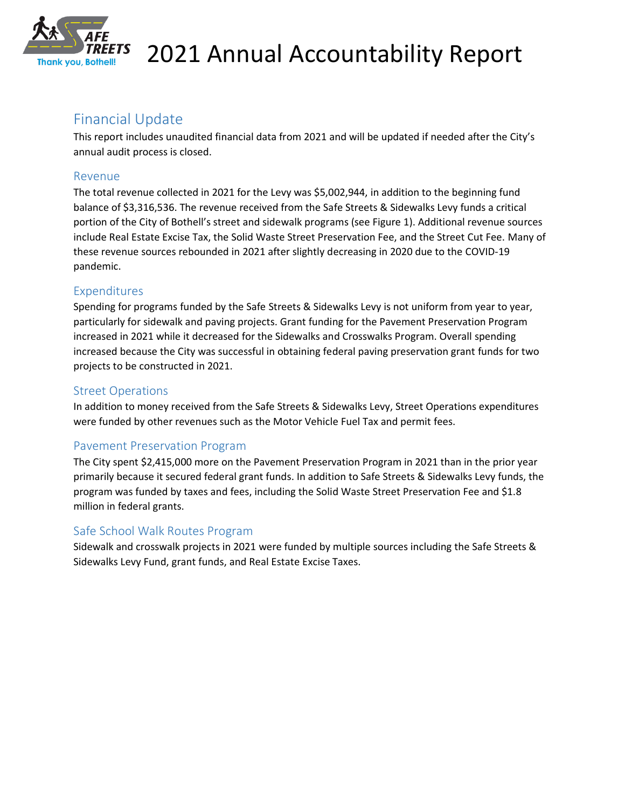

# Financial Update

This report includes unaudited financial data from 2021 and will be updated if needed after the City's annual audit process is closed.

### Revenue

The total revenue collected in 2021 for the Levy was \$5,002,944, in addition to the beginning fund balance of \$3,316,536. The revenue received from the Safe Streets & Sidewalks Levy funds a critical portion of the City of Bothell's street and sidewalk programs (see Figure 1). Additional revenue sources include Real Estate Excise Tax, the Solid Waste Street Preservation Fee, and the Street Cut Fee. Many of these revenue sources rebounded in 2021 after slightly decreasing in 2020 due to the COVID-19 pandemic.

#### Expenditures

Spending for programs funded by the Safe Streets & Sidewalks Levy is not uniform from year to year, particularly for sidewalk and paving projects. Grant funding for the Pavement Preservation Program increased in 2021 while it decreased for the Sidewalks and Crosswalks Program. Overall spending increased because the City was successful in obtaining federal paving preservation grant funds for two projects to be constructed in 2021.

## Street Operations

In addition to money received from the Safe Streets & Sidewalks Levy, Street Operations expenditures were funded by other revenues such as the Motor Vehicle Fuel Tax and permit fees.

## Pavement Preservation Program

The City spent \$2,415,000 more on the Pavement Preservation Program in 2021 than in the prior year primarily because it secured federal grant funds. In addition to Safe Streets & Sidewalks Levy funds, the program was funded by taxes and fees, including the Solid Waste Street Preservation Fee and \$1.8 million in federal grants.

## Safe School Walk Routes Program

Sidewalk and crosswalk projects in 2021 were funded by multiple sources including the Safe Streets & Sidewalks Levy Fund, grant funds, and Real Estate Excise Taxes.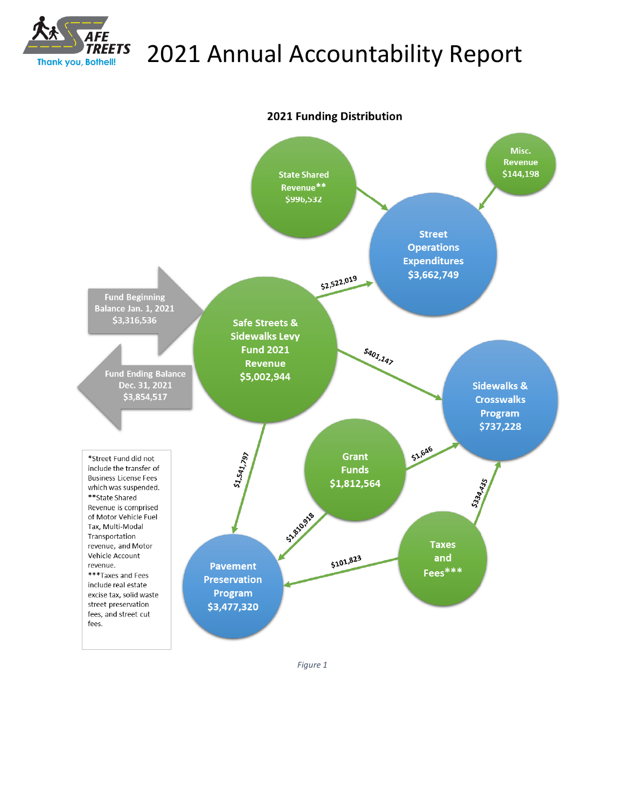



*Figure 1*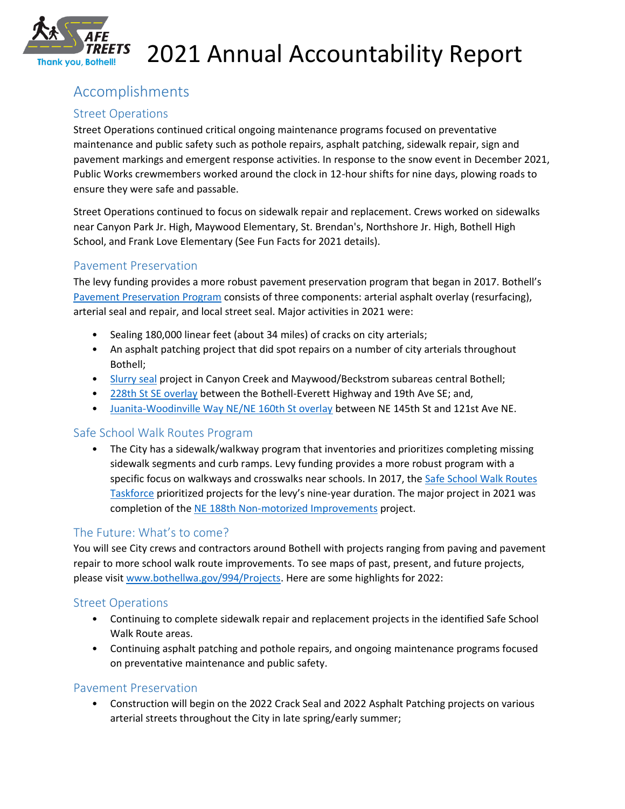

# Accomplishments

### Street Operations

Street Operations continued critical ongoing maintenance programs focused on preventative maintenance and public safety such as pothole repairs, asphalt patching, sidewalk repair, sign and pavement markings and emergent response activities. In response to the snow event in December 2021, Public Works crewmembers worked around the clock in 12-hour shifts for nine days, plowing roads to ensure they were safe and passable.

Street Operations continued to focus on sidewalk repair and replacement. Crews worked on sidewalks near Canyon Park Jr. High, Maywood Elementary, St. Brendan's, Northshore Jr. High, Bothell High School, and Frank Love Elementary (See Fun Facts for 2021 details).

#### Pavement Preservation

The levy funding provides a more robust pavement preservation program that began in 2017. Bothell's [Pavement Preservation Program](http://www.bothellwa.gov/993/Preserving-Bothells-Pavement) consists of three components: arterial asphalt overlay (resurfacing), arterial seal and repair, and local street seal. Major activities in 2021 were:

- Sealing 180,000 linear feet (about 34 miles) of cracks on city arterials;
- An asphalt patching project that did spot repairs on a number of city arterials throughout Bothell;
- [Slurry seal](http://www.bothellwa.gov/1527/2020-Slurry-Seal) project in Canyon Creek and Maywood/Beckstrom subareas central Bothell;
- [228th St SE overlay](http://bothellwa.gov/1793/228th-St-SWSE-Pavement-Preservation) between the Bothell-Everett Highway and 19th Ave SE; and,
- [Juanita-Woodinville Way NE/NE 160th St overlay](http://bothellwa.gov/1491/Juanita-Woodinville-Wy-NENE-160th-St-Ove) between NE 145th St and 121st Ave NE.

## Safe School Walk Routes Program

• The City has a sidewalk/walkway program that inventories and prioritizes completing missing sidewalk segments and curb ramps. Levy funding provides a more robust program with a specific focus on walkways and crosswalks near schools. In 2017, the [Safe School Walk Routes](http://www.bothellwa.gov/992/Safe-School-Walk-Routes-Taskforce)  [Taskforce](http://www.bothellwa.gov/992/Safe-School-Walk-Routes-Taskforce) prioritized projects for the levy's nine-year duration. The major project in 2021 was completion of the [NE 188th Non-motorized Improvements](http://bothellwa.gov/1331/NE-188th-St-Non-motorized-Improvements) project.

## The Future: What's to come?

You will see City crews and contractors around Bothell with projects ranging from paving and pavement repair to more school walk route improvements. To see maps of past, present, and future projects, please visit [www.bothellwa.gov/994/Projects.](http://www.bothellwa.gov/994/Projects) Here are some highlights for 2022:

#### Street Operations

- Continuing to complete sidewalk repair and replacement projects in the identified Safe School Walk Route areas.
- Continuing asphalt patching and pothole repairs, and ongoing maintenance programs focused on preventative maintenance and public safety.

#### Pavement Preservation

• Construction will begin on the 2022 Crack Seal and 2022 Asphalt Patching projects on various arterial streets throughout the City in late spring/early summer;